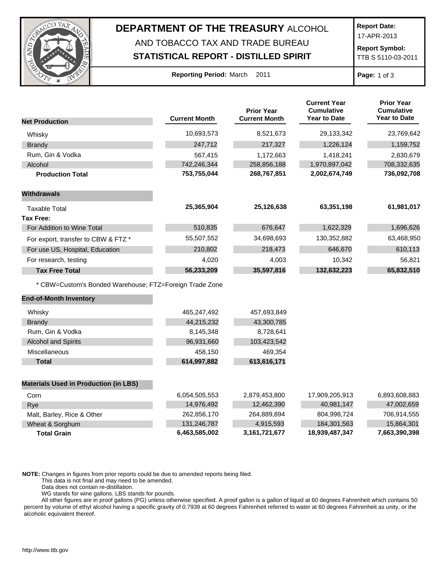

## **DEPARTMENT OF THE TREASURY** ALCOHOL AND TOBACCO TAX AND TRADE BUREAU

## **STATISTICAL REPORT - DISTILLED SPIRIT**

**Report Date:**

17-APR-2013

**Report Symbol:** TTB S 5110-03-2011

| <b>Reporting Period: March</b> |  |  |  | 2011 |
|--------------------------------|--|--|--|------|
|--------------------------------|--|--|--|------|

**Page:** 1 of 3

|                                                         |                      | <b>Prior Year</b>    | <b>Current Year</b><br><b>Cumulative</b><br>Year to Date | <b>Prior Year</b><br><b>Cumulative</b><br><b>Year to Date</b> |
|---------------------------------------------------------|----------------------|----------------------|----------------------------------------------------------|---------------------------------------------------------------|
| <b>Net Production</b>                                   | <b>Current Month</b> | <b>Current Month</b> |                                                          |                                                               |
| Whisky                                                  | 10,693,573           | 8,521,673            | 29,133,342                                               | 23,769,642                                                    |
| <b>Brandy</b>                                           | 247,712              | 217,327              | 1,226,124                                                | 1,159,752                                                     |
| Rum, Gin & Vodka                                        | 567,415              | 1,172,663            | 1,418,241                                                | 2,830,679                                                     |
| Alcohol                                                 | 742,246,344          | 258,856,188          | 1,970,897,042                                            | 708,332,635                                                   |
| <b>Production Total</b>                                 | 753,755,044          | 268,767,851          | 2,002,674,749                                            | 736,092,708                                                   |
| <b>Withdrawals</b>                                      |                      |                      |                                                          |                                                               |
| <b>Taxable Total</b>                                    | 25,365,904           | 25,126,638           | 63,351,198                                               | 61,981,017                                                    |
| <b>Tax Free:</b>                                        |                      |                      |                                                          |                                                               |
| For Addition to Wine Total                              | 510,835              | 676,647              | 1,622,329                                                | 1,696,626                                                     |
| For export, transfer to CBW & FTZ *                     | 55,507,552           | 34,698,693           | 130,352,882                                              | 63,468,950                                                    |
| For use US, Hospital, Education                         | 210,802              | 218,473              | 646,670                                                  | 610,113                                                       |
| For research, testing                                   | 4,020                | 4,003                | 10,342                                                   | 56,821                                                        |
| <b>Tax Free Total</b>                                   | 56,233,209           | 35,597,816           | 132,632,223                                              | 65,832,510                                                    |
| * CBW=Custom's Bonded Warehouse; FTZ=Foreign Trade Zone |                      |                      |                                                          |                                                               |
| <b>End-of-Month Inventory</b>                           |                      |                      |                                                          |                                                               |
| Whisky                                                  | 465,247,492          | 457,693,849          |                                                          |                                                               |
| <b>Brandy</b>                                           | 44,215,232           | 43,300,785           |                                                          |                                                               |
| Rum, Gin & Vodka                                        | 8,145,348            | 8,728,641            |                                                          |                                                               |
| <b>Alcohol and Spirits</b>                              | 96,931,660           | 103,423,542          |                                                          |                                                               |
| Miscellaneous                                           | 458,150              | 469,354              |                                                          |                                                               |
| <b>Total</b>                                            | 614,997,882          | 613,616,171          |                                                          |                                                               |
| <b>Materials Used in Production (in LBS)</b>            |                      |                      |                                                          |                                                               |
| Corn                                                    | 6,054,505,553        | 2,879,453,800        | 17,909,205,913                                           | 6,893,608,883                                                 |
| Rye                                                     | 14,976,492           | 12,462,390           | 40,981,147                                               | 47,002,659                                                    |
| Malt, Barley, Rice & Other                              | 262,856,170          | 264,889,894          | 804,998,724                                              | 706,914,555                                                   |
| Wheat & Sorghum                                         | 131,246,787          | 4,915,593            | 184,301,563                                              | 15,864,301                                                    |
| <b>Total Grain</b>                                      | 6,463,585,002        | 3, 161, 721, 677     | 18,939,487,347                                           | 7,663,390,398                                                 |

**NOTE:** Changes in figures from prior reports could be due to amended reports being filed.

This data is not final and may need to be amended.

Data does not contain re-distillation.

WG stands for wine gallons. LBS stands for pounds.

All other figures are in proof gallons (PG) unless otherwise specified. A proof gallon is a gallon of liquid at 60 degrees Fahrenheit which contains 50 percent by volume of ethyl alcohol having a specific gravity of 0.7939 at 60 degrees Fahrenheit referred to water at 60 degrees Fahrenheit as unity, or the alcoholic equivalent thereof.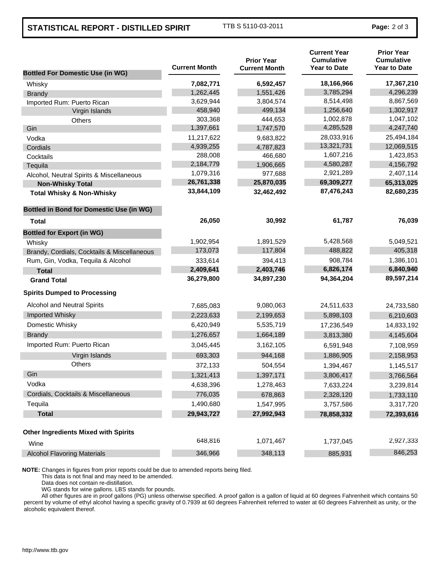## **STATISTICAL REPORT - DISTILLED SPIRIT** TTB S 5110-03-2011 **Page:** 2 of 3

| <b>Bottled For Domestic Use (in WG)</b>         | <b>Current Month</b> | <b>Prior Year</b><br><b>Current Month</b> | <b>Current Year</b><br>Cumulative<br><b>Year to Date</b> | <b>Prior Year</b><br><b>Cumulative</b><br><b>Year to Date</b> |
|-------------------------------------------------|----------------------|-------------------------------------------|----------------------------------------------------------|---------------------------------------------------------------|
| Whisky                                          | 7,082,771            | 6,592,457                                 | 18,166,966                                               | 17,367,210                                                    |
| <b>Brandy</b>                                   | 1,262,445            | 1,551,426                                 | 3,785,294                                                | 4,296,239                                                     |
| Imported Rum: Puerto Rican                      | 3,629,944            | 3,804,574                                 | 8,514,498                                                | 8,867,569                                                     |
| Virgin Islands                                  | 458,940              | 499,134                                   | 1,256,640                                                | 1,302,917                                                     |
| <b>Others</b>                                   | 303,368              | 444,653                                   | 1,002,878                                                | 1,047,102                                                     |
| Gin                                             | 1,397,661            | 1,747,570                                 | 4,285,528                                                | 4,247,740                                                     |
| Vodka                                           | 11,217,622           | 9,683,822                                 | 28,033,916                                               | 25,494,184                                                    |
| Cordials                                        | 4,939,255            | 4,787,823                                 | 13,321,731                                               | 12,069,515                                                    |
| Cocktails                                       | 288,008              | 466,680                                   | 1,607,216                                                | 1,423,853                                                     |
| Tequila                                         | 2,184,779            | 1,906,665                                 | 4,580,287                                                | 4,156,792                                                     |
| Alcohol, Neutral Spirits & Miscellaneous        | 1,079,316            | 977,688                                   | 2,921,289                                                | 2,407,114                                                     |
| <b>Non-Whisky Total</b>                         | 26,761,338           | 25,870,035                                | 69,309,277                                               | 65,313,025                                                    |
| <b>Total Whisky &amp; Non-Whisky</b>            | 33,844,109           | 32,462,492                                | 87,476,243                                               | 82,680,235                                                    |
| <b>Bottled in Bond for Domestic Use (in WG)</b> |                      |                                           |                                                          |                                                               |
| <b>Total</b>                                    | 26,050               | 30,992                                    | 61,787                                                   | 76,039                                                        |
| <b>Bottled for Export (in WG)</b>               |                      |                                           |                                                          |                                                               |
| Whisky                                          | 1,902,954            | 1,891,529                                 | 5,428,568                                                | 5,049,521                                                     |
| Brandy, Cordials, Cocktails & Miscellaneous     | 173,073              | 117,804                                   | 488,822                                                  | 405,318                                                       |
| Rum, Gin, Vodka, Tequila & Alcohol              | 333,614              | 394,413                                   | 908,784                                                  | 1,386,101                                                     |
| <b>Total</b>                                    | 2,409,641            | 2,403,746                                 | 6,826,174                                                | 6,840,940                                                     |
| <b>Grand Total</b>                              | 36,279,800           | 34,897,230                                | 94,364,204                                               | 89,597,214                                                    |
| <b>Spirits Dumped to Processing</b>             |                      |                                           |                                                          |                                                               |
| <b>Alcohol and Neutral Spirits</b>              | 7,685,083            | 9,080,063                                 | 24,511,633                                               | 24,733,580                                                    |
| Imported Whisky                                 | 2,223,633            | 2,199,653                                 | 5,898,103                                                | 6,210,603                                                     |
| Domestic Whisky                                 | 6,420,949            | 5,535,719                                 | 17,236,549                                               | 14,833,192                                                    |
| <b>Brandy</b>                                   | 1,276,657            | 1,664,189                                 | 3,813,380                                                | 4,145,604                                                     |
| Imported Rum: Puerto Rican                      | 3,045,445            | 3,162,105                                 | 6,591,948                                                | 7,108,959                                                     |
| Virgin Islands                                  | 693,303              | 944,168                                   | 1,886,905                                                | 2,158,953                                                     |
| <b>Others</b>                                   | 372,133              | 504,554                                   | 1,394,467                                                | 1,145,517                                                     |
| Gin                                             | 1,321,413            | 1,397,171                                 | 3,806,417                                                | 3,766,564                                                     |
| Vodka                                           | 4,638,396            | 1,278,463                                 | 7,633,224                                                | 3,239,814                                                     |
| Cordials, Cocktails & Miscellaneous             | 776,035              | 678,863                                   | 2,328,120                                                | 1,733,110                                                     |
| Tequila                                         | 1,490,680            | 1,547,995                                 | 3,757,586                                                | 3,317,720                                                     |
| <b>Total</b>                                    | 29,943,727           | 27,992,943                                | 78,858,332                                               | 72,393,616                                                    |
| <b>Other Ingredients Mixed with Spirits</b>     |                      |                                           |                                                          |                                                               |
| Wine                                            | 648,816              | 1,071,467                                 | 1,737,045                                                | 2,927,333                                                     |
| <b>Alcohol Flavoring Materials</b>              | 346,966              | 348,113                                   | 885,931                                                  | 846,253                                                       |

**NOTE:** Changes in figures from prior reports could be due to amended reports being filed.

This data is not final and may need to be amended.

Data does not contain re-distillation.

WG stands for wine gallons. LBS stands for pounds.

All other figures are in proof gallons (PG) unless otherwise specified. A proof gallon is a gallon of liquid at 60 degrees Fahrenheit which contains 50 percent by volume of ethyl alcohol having a specific gravity of 0.7939 at 60 degrees Fahrenheit referred to water at 60 degrees Fahrenheit as unity, or the alcoholic equivalent thereof.